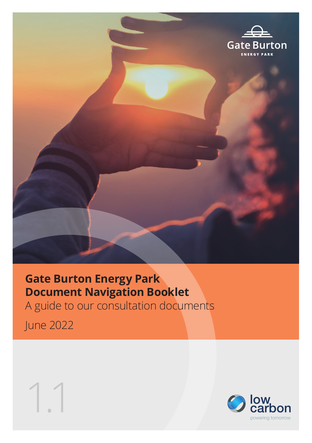

## **Gate Burton Energy Park Document Navigation Booklet** A guide to our consultation documents

June 2022



1.1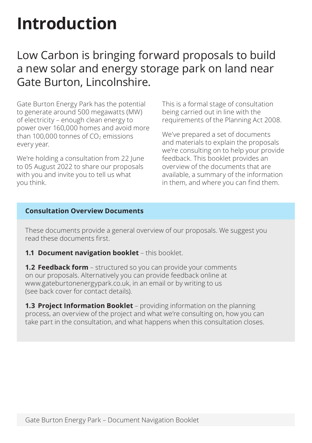# **Introduction**

### Low Carbon is bringing forward proposals to build a new solar and energy storage park on land near Gate Burton, Lincolnshire.

Gate Burton Energy Park has the potential to generate around 500 megawatts (MW) of electricity – enough clean energy to power over 160,000 homes and avoid more than 100,000 tonnes of  $CO<sub>2</sub>$  emissions every year.

We're holding a consultation from 22 June to 05 August 2022 to share our proposals with you and invite you to tell us what you think.

This is a formal stage of consultation being carried out in line with the requirements of the Planning Act 2008.

We've prepared a set of documents and materials to explain the proposals we're consulting on to help your provide feedback. This booklet provides an overview of the documents that are available, a summary of the information in them, and where you can find them.

#### **Consultation Overview Documents**

These documents provide a general overview of our proposals. We suggest you read these documents first.

**1.1 Document navigation booklet** – this booklet.

**1.2 Feedback form** – structured so you can provide your comments on our proposals. Alternatively you can provide feedback online at www.gateburtonenergypark.co.uk, in an email or by writing to us (see back cover for contact details).

**1.3 Project Information Booklet** – providing information on the planning process, an overview of the project and what we're consulting on, how you can take part in the consultation, and what happens when this consultation closes.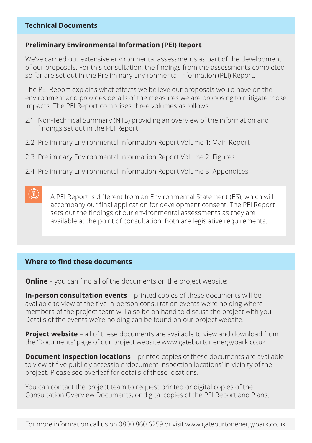#### **Technical Documents**

#### **Preliminary Environmental Information (PEI) Report**

We've carried out extensive environmental assessments as part of the development of our proposals. For this consultation, the findings from the assessments completed so far are set out in the Preliminary Environmental Information (PEI) Report.

The PEI Report explains what effects we believe our proposals would have on the environment and provides details of the measures we are proposing to mitigate those impacts. The PEI Report comprises three volumes as follows:

- 2.1 Non-Technical Summary (NTS) providing an overview of the information and findings set out in the PEI Report
- 2.2 Preliminary Environmental Information Report Volume 1: Main Report
- 2.3 Preliminary Environmental Information Report Volume 2: Figures
- 2.4 Preliminary Environmental Information Report Volume 3: Appendices

A PEI Report is different from an Environmental Statement (ES), which will accompany our final application for development consent. The PEI Report sets out the findings of our environmental assessments as they are available at the point of consultation. Both are legislative requirements.

#### **Where to find these documents**

 $\mathbb{C}$ 

**Online** – you can find all of the documents on the project website:

**In-person consultation events** – printed copies of these documents will be available to view at the five in-person consultation events we're holding where members of the project team will also be on hand to discuss the project with you. Details of the events we're holding can be found on our project website.

**Project website** – all of these documents are available to view and download from the 'Documents' page of our project website www.gateburtonenergypark.co.uk

**Document inspection locations** – printed copies of these documents are available to view at five publicly accessible 'document inspection locations' in vicinity of the project. Please see overleaf for details of these locations.

You can contact the project team to request printed or digital copies of the Consultation Overview Documents, or digital copies of the PEI Report and Plans.